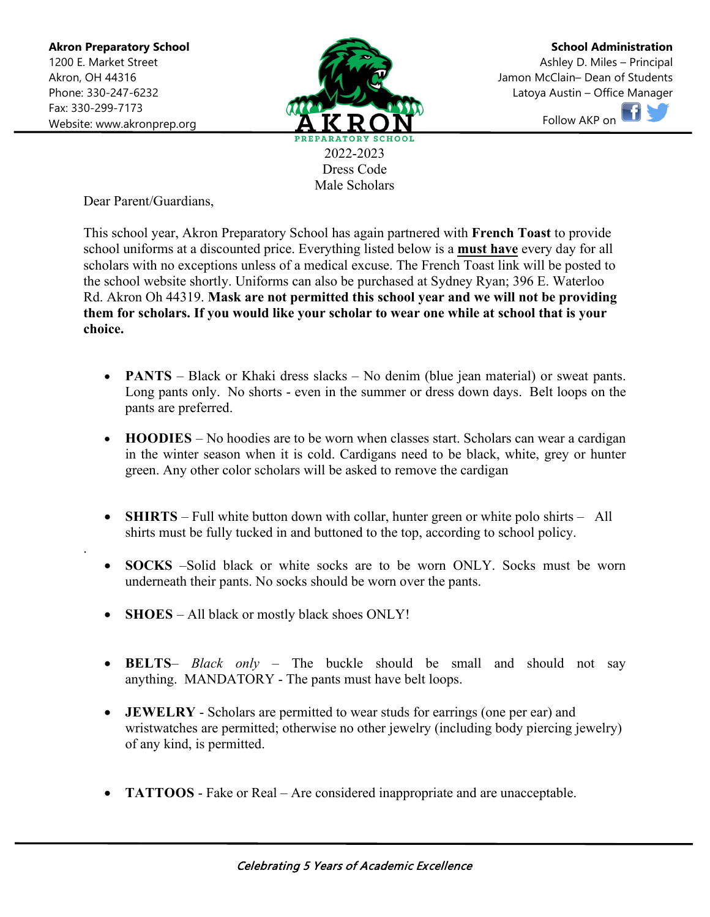.



**School Administration** Ashley D. Miles – Principal Jamon McClain– Dean of Students Latoya Austin – Office Manager Follow AKP on

Male Scholars

Dear Parent/Guardians,

This school year, Akron Preparatory School has again partnered with **French Toast** to provide school uniforms at a discounted price. Everything listed below is a **must have** every day for all scholars with no exceptions unless of a medical excuse. The French Toast link will be posted to the school website shortly. Uniforms can also be purchased at Sydney Ryan; 396 E. Waterloo Rd. Akron Oh 44319. **Mask are not permitted this school year and we will not be providing them for scholars. If you would like your scholar to wear one while at school that is your choice.**

- **PANTS** Black or Khaki dress slacks No denim (blue jean material) or sweat pants. Long pants only. No shorts - even in the summer or dress down days. Belt loops on the pants are preferred.
- **HOODIES**  No hoodies are to be worn when classes start. Scholars can wear a cardigan in the winter season when it is cold. Cardigans need to be black, white, grey or hunter green. Any other color scholars will be asked to remove the cardigan
- **SHIRTS** Full white button down with collar, hunter green or white polo shirts All shirts must be fully tucked in and buttoned to the top, according to school policy.
- **SOCKS** –Solid black or white socks are to be worn ONLY. Socks must be worn underneath their pants. No socks should be worn over the pants.
- **SHOES** All black or mostly black shoes ONLY!
- **BELTS** *Black only* The buckle should be small and should not say anything. MANDATORY - The pants must have belt loops.
- **JEWELRY** Scholars are permitted to wear studs for earrings (one per ear) and wristwatches are permitted; otherwise no other jewelry (including body piercing jewelry) of any kind, is permitted.
- **TATTOOS** Fake or Real Are considered inappropriate and are unacceptable.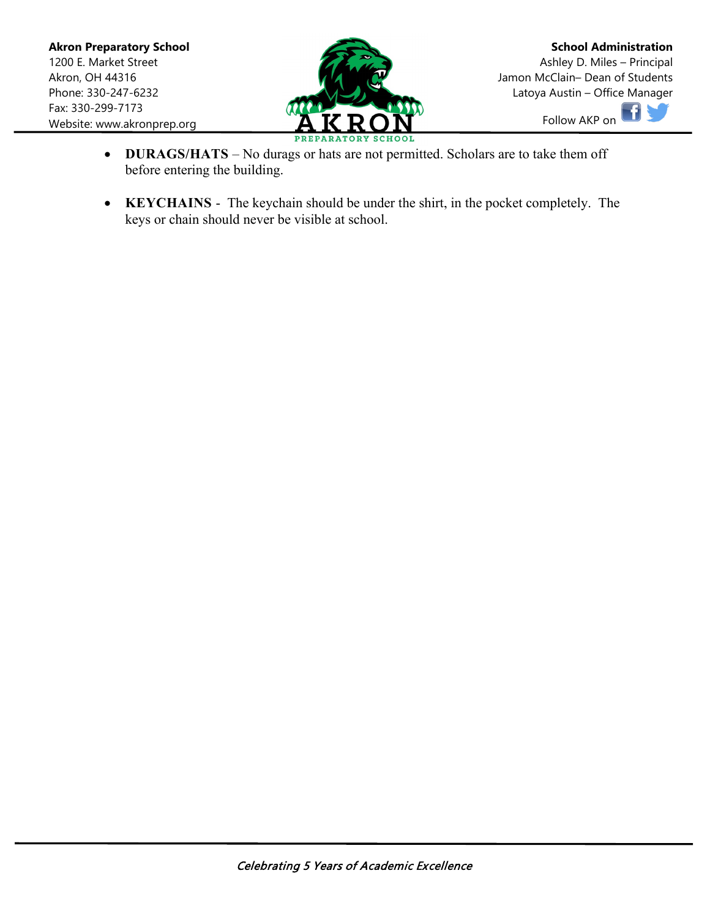

- **DURAGS/HATS** No durags or hats are not permitted. Scholars are to take them off before entering the building.
- **KEYCHAINS** The keychain should be under the shirt, in the pocket completely. The keys or chain should never be visible at school.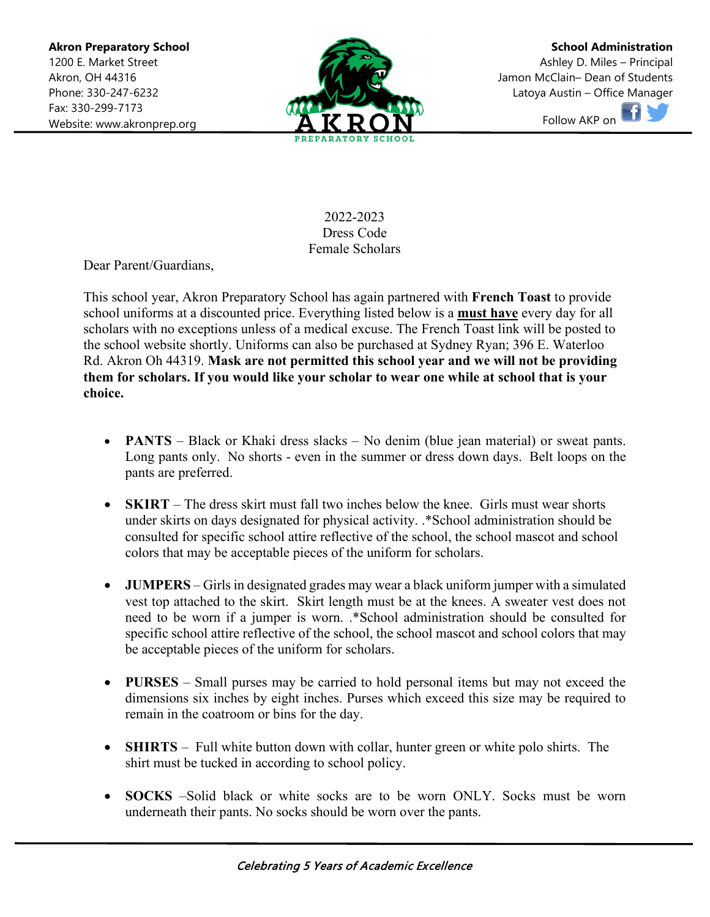

**School Administration** Ashley D. Miles – Principal Jamon McClain– Dean of Students Latoya Austin – Office Manager Follow AKP on



Dear Parent/Guardians,

This school year, Akron Preparatory School has again partnered with **French Toast** to provide school uniforms at a discounted price. Everything listed below is a **must have** every day for all scholars with no exceptions unless of a medical excuse. The French Toast link will be posted to the school website shortly. Uniforms can also be purchased at Sydney Ryan; 396 E. Waterloo Rd. Akron Oh 44319. **Mask are not permitted this school year and we will not be providing them for scholars. If you would like your scholar to wear one while at school that is your choice.**

- **PANTS** Black or Khaki dress slacks No denim (blue jean material) or sweat pants. Long pants only. No shorts - even in the summer or dress down days. Belt loops on the pants are preferred.
- **SKIRT** The dress skirt must fall two inches below the knee. Girls must wear shorts under skirts on days designated for physical activity. .\*School administration should be consulted for specific school attire reflective of the school, the school mascot and school colors that may be acceptable pieces of the uniform for scholars.
- **JUMPERS** Girls in designated grades may wear a black uniform jumper with a simulated vest top attached to the skirt. Skirt length must be at the knees. A sweater vest does not need to be worn if a jumper is worn. .\*School administration should be consulted for specific school attire reflective of the school, the school mascot and school colors that may be acceptable pieces of the uniform for scholars.
- **PURSES** Small purses may be carried to hold personal items but may not exceed the dimensions six inches by eight inches. Purses which exceed this size may be required to remain in the coatroom or bins for the day.
- **SHIRTS** Full white button down with collar, hunter green or white polo shirts. The shirt must be tucked in according to school policy.
- **SOCKS** –Solid black or white socks are to be worn ONLY. Socks must be worn underneath their pants. No socks should be worn over the pants.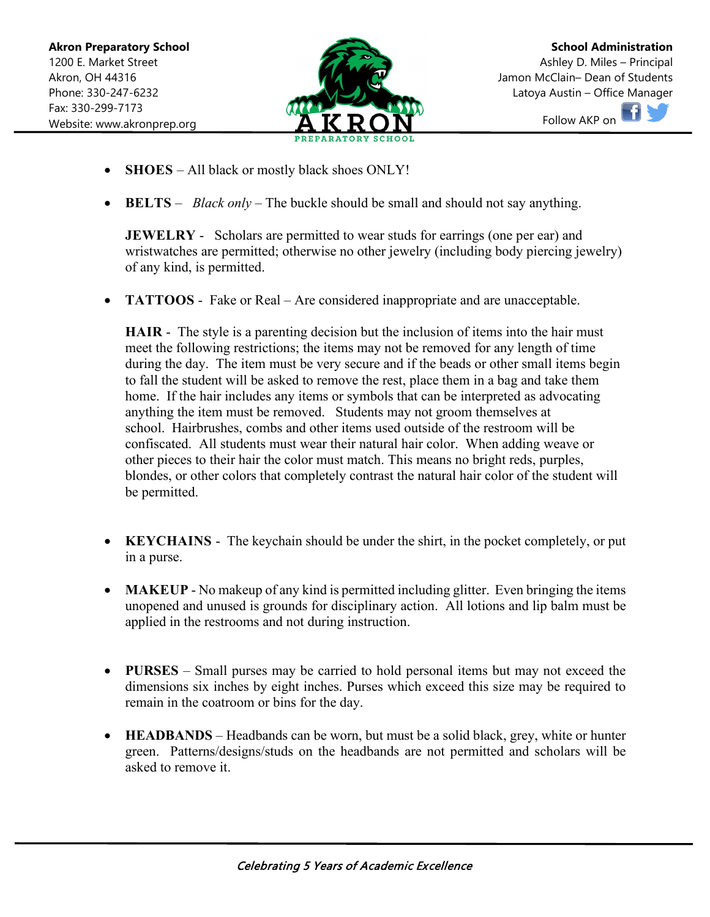

**School Administration** Ashley D. Miles – Principal Jamon McClain– Dean of Students Latoya Austin – Office Manager Follow AKP on

- **SHOES** All black or mostly black shoes ONLY!
- **BELTS** *Black only* The buckle should be small and should not say anything.

**JEWELRY** - Scholars are permitted to wear studs for earrings (one per ear) and wristwatches are permitted; otherwise no other jewelry (including body piercing jewelry) of any kind, is permitted.

• **TATTOOS** - Fake or Real – Are considered inappropriate and are unacceptable.

**HAIR** - The style is a parenting decision but the inclusion of items into the hair must meet the following restrictions; the items may not be removed for any length of time during the day. The item must be very secure and if the beads or other small items begin to fall the student will be asked to remove the rest, place them in a bag and take them home. If the hair includes any items or symbols that can be interpreted as advocating anything the item must be removed. Students may not groom themselves at school. Hairbrushes, combs and other items used outside of the restroom will be confiscated. All students must wear their natural hair color. When adding weave or other pieces to their hair the color must match. This means no bright reds, purples, blondes, or other colors that completely contrast the natural hair color of the student will be permitted.

- **KEYCHAINS** The keychain should be under the shirt, in the pocket completely, or put in a purse.
- **MAKEUP** No makeup of any kind is permitted including glitter. Even bringing the items unopened and unused is grounds for disciplinary action. All lotions and lip balm must be applied in the restrooms and not during instruction.
- **PURSES** Small purses may be carried to hold personal items but may not exceed the dimensions six inches by eight inches. Purses which exceed this size may be required to remain in the coatroom or bins for the day.
- **HEADBANDS** Headbands can be worn, but must be a solid black, grey, white or hunter green. Patterns/designs/studs on the headbands are not permitted and scholars will be asked to remove it.